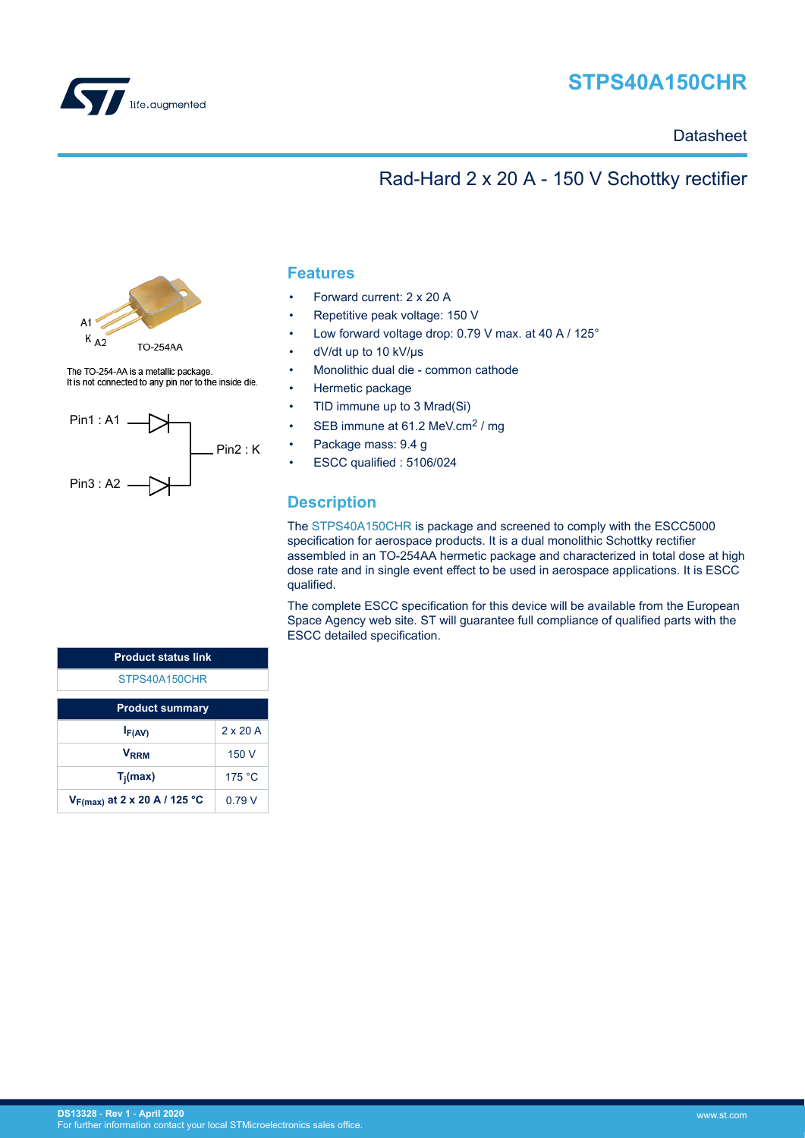

# **STPS40A150CHR**

## **Datasheet**

# Rad-Hard 2 x 20 A - 150 V Schottky rectifier



The TO-254-AA is a metallic package. It is not connected to any pin nor to the inside die.



## **Features**

- Forward current: 2 x 20 A
- Repetitive peak voltage: 150 V
- Low forward voltage drop: 0.79 V max. at 40 A / 125°
- dV/dt up to 10 kV/us
- Monolithic dual die common cathode
- Hermetic package
- TID immune up to 3 Mrad(Si)
- SEB immune at 61.2 MeV.cm<sup>2</sup> / mg
- Package mass: 9.4 g
- ESCC qualified : 5106/024

## **Description**

The [STPS40A150CHR](https://www.st.com/en/product/stps40a150chr?ecmp=tt9470_gl_link_feb2019&rt=ds&id=DS13328) is package and screened to comply with the ESCC5000 specification for aerospace products. It is a dual monolithic Schottky rectifier assembled in an TO-254AA hermetic package and characterized in total dose at high dose rate and in single event effect to be used in aerospace applications. It is ESCC qualified.

The complete ESCC specification for this device will be available from the European Space Agency web site. ST will guarantee full compliance of qualified parts with the ESCC detailed specification.

| <b>Product status link</b>        |                 |  |  |  |
|-----------------------------------|-----------------|--|--|--|
| STPS40A150CHR                     |                 |  |  |  |
| <b>Product summary</b>            |                 |  |  |  |
| $I_{F(AV)}$                       | $2 \times 20$ A |  |  |  |
| V <sub>RRM</sub>                  | 150 V           |  |  |  |
| $T_i(max)$                        | 175 °C          |  |  |  |
| $V_{F(max)}$ at 2 x 20 A / 125 °C | 0 79 V          |  |  |  |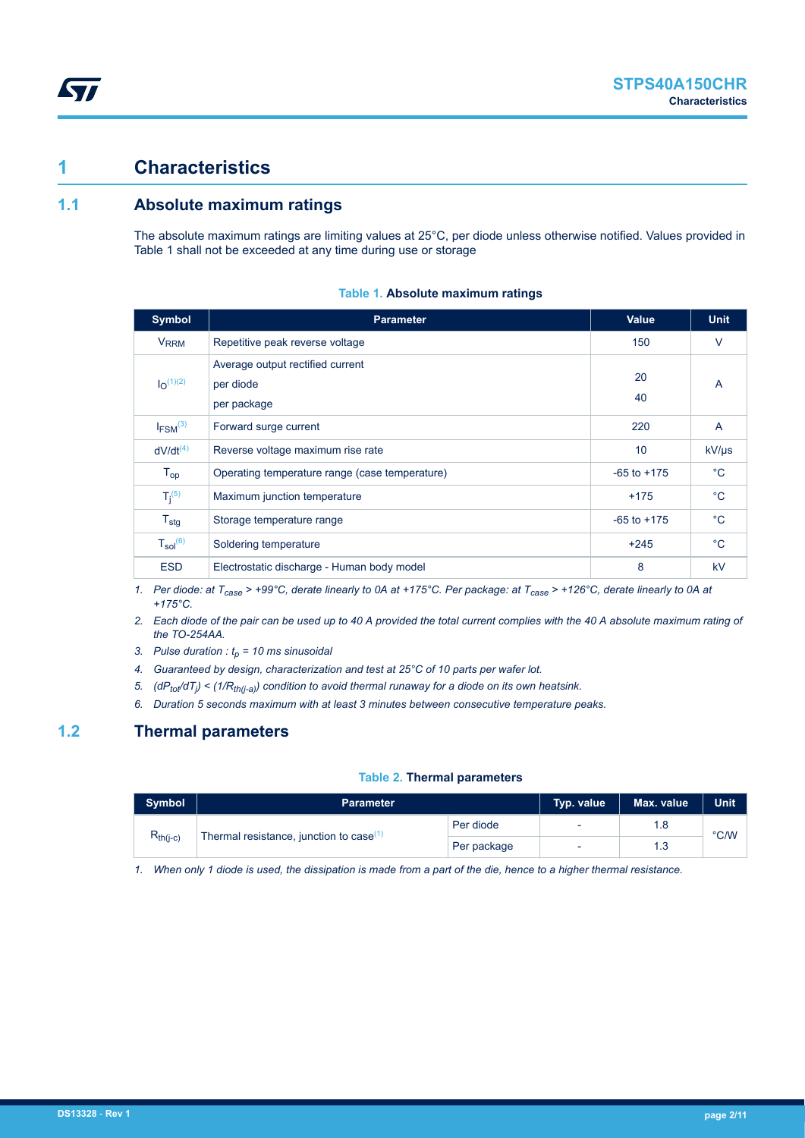## **1 Characteristics**

ST

## **1.1 Absolute maximum ratings**

The absolute maximum ratings are limiting values at 25°C, per diode unless otherwise notified. Values provided in Table 1 shall not be exceeded at any time during use or storage

| <b>Symbol</b>              | <b>Parameter</b>                                             | <b>Value</b>    | <b>Unit</b>  |
|----------------------------|--------------------------------------------------------------|-----------------|--------------|
| <b>V<sub>RRM</sub></b>     | Repetitive peak reverse voltage                              | 150             | $\vee$       |
| $I_{\Omega}^{(1)(2)}$      | Average output rectified current<br>per diode<br>per package | 20<br>40        | A            |
| $I_{FSM}$ <sup>(3)</sup>   | Forward surge current                                        | 220             | A            |
| $dV/dt^{(4)}$              | Reverse voltage maximum rise rate                            | 10              | $kV/ \mu s$  |
| $\mathsf{T}_{\mathsf{op}}$ | Operating temperature range (case temperature)               | $-65$ to $+175$ | $^{\circ}$ C |
| $T_i^{(5)}$                | Maximum junction temperature                                 | $+175$          | $^{\circ}C$  |
| $T_{\text{stg}}$           | Storage temperature range                                    | $-65$ to $+175$ | $^{\circ}C$  |
| $T_{sol}^{(6)}$            | Soldering temperature                                        | $+245$          | $^{\circ}$ C |
| <b>ESD</b>                 | Electrostatic discharge - Human body model                   | 8               | kV           |

#### **Table 1. Absolute maximum ratings**

*1. Per diode: at Tcase > +99°C, derate linearly to 0A at +175°C. Per package: at Tcase > +126°C, derate linearly to 0A at +175°C.*

*2. Each diode of the pair can be used up to 40 A provided the total current complies with the 40 A absolute maximum rating of the TO-254AA.*

- *3. Pulse duration : tp = 10 ms sinusoidal*
- *4. Guaranteed by design, characterization and test at 25°C of 10 parts per wafer lot.*
- *5. (dPtot/dT<sup>j</sup> ) < (1/Rth(j-a)) condition to avoid thermal runaway for a diode on its own heatsink.*
- *6. Duration 5 seconds maximum with at least 3 minutes between consecutive temperature peaks.*

## **1.2 Thermal parameters**

#### **Table 2. Thermal parameters**

| Symbol                                              | <b>Parameter</b> | Typ. value  | Max. value               | <b>Unit</b> |      |
|-----------------------------------------------------|------------------|-------------|--------------------------|-------------|------|
| $R_{th(i-c)}$                                       |                  | Per diode   | $\overline{\phantom{a}}$ | 1.8         | °C/W |
| Thermal resistance, junction to case <sup>(1)</sup> |                  | Per package | -                        | 1.3         |      |

*1. When only 1 diode is used, the dissipation is made from a part of the die, hence to a higher thermal resistance.*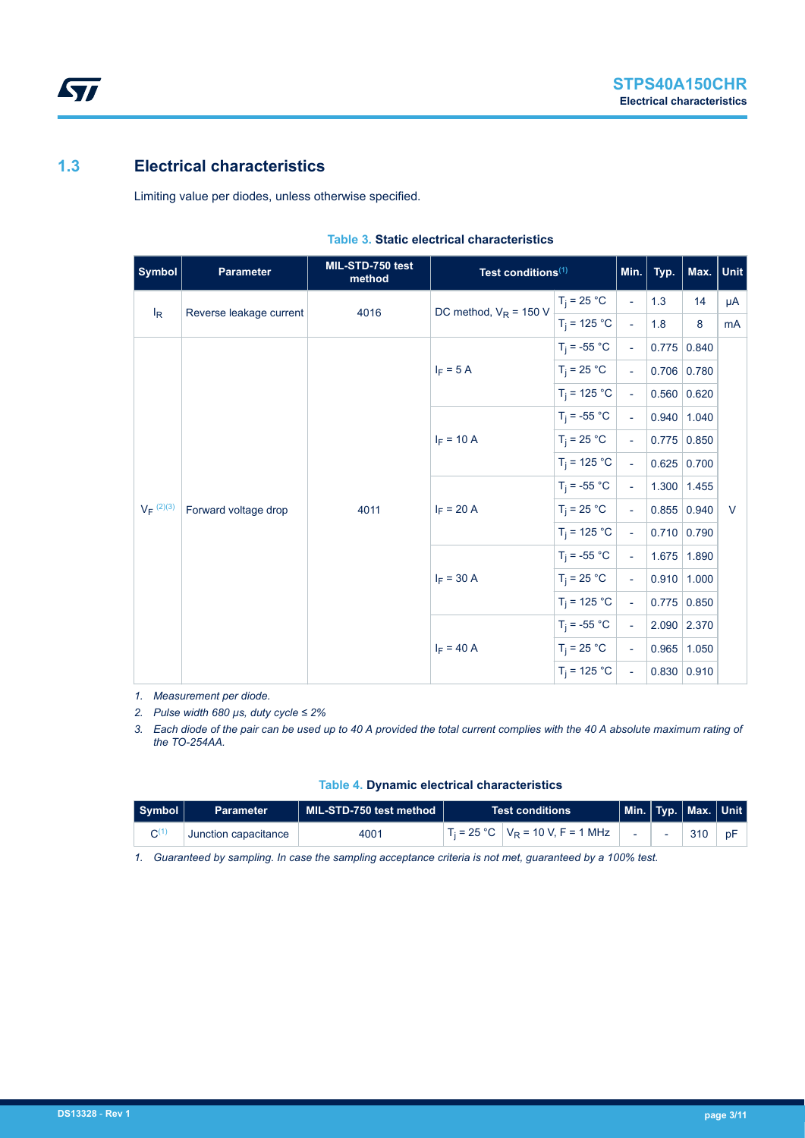# **1.3 Electrical characteristics**

**STI** 

Limiting value per diodes, unless otherwise specified.

| <b>Symbol</b>  | <b>Parameter</b>        | MIL-STD-750 test<br>method   | Test conditions <sup>(1)</sup> |                             | Min.                        | Typ.            | Max. Unit       |        |
|----------------|-------------------------|------------------------------|--------------------------------|-----------------------------|-----------------------------|-----------------|-----------------|--------|
| $I_R$          | Reverse leakage current | 4016                         | DC method, $V_R$ = 150 V       | $T_j = 25 °C$               | $\blacksquare$              | 1.3             | 14              | μA     |
|                |                         |                              |                                | $T_i = 125 °C$              | $\overline{\phantom{a}}$    | 1.8             | 8               | mA     |
|                |                         |                              | $T_i = -55 °C$                 | $\omega$                    |                             | 0.775   0.840   |                 |        |
|                |                         |                              | $I_F = 5 A$                    | $T_i = 25 °C$               | $\omega$                    |                 | $0.706$ 0.780   |        |
|                |                         |                              |                                | $T_i = 125 °C$              | $\sim$                      |                 | 0.560   0.620   |        |
|                |                         |                              | $T_i = -55 °C$                 | $\sim$                      |                             | $0.940$   1.040 |                 |        |
|                |                         |                              | $I_F = 10 A$                   | $T_i = 25 °C$               | $\mathcal{L}_{\mathcal{A}}$ |                 | $0.775$ 0.850   |        |
|                |                         |                              |                                | $T_i = 125 °C$              | $\omega$                    |                 | 0.625   0.700   |        |
|                |                         |                              |                                | $T_i = -55 °C$              | $\sim$                      |                 | $1.300$   1.455 |        |
| $V_F^{(2)(3)}$ | Forward voltage drop    | $I_F = 20 A$<br>4011         |                                | $T_i = 25 °C$               | $\sim$                      |                 | 0.855   0.940   | $\vee$ |
|                |                         |                              |                                | $T_i = 125 °C$              | $\mathcal{L}_{\mathcal{A}}$ |                 | 0.710   0.790   |        |
|                |                         | $I_F = 30 A$<br>$I_F = 40 A$ | $T_i = -55 °C$                 | $\mathcal{L}_{\mathcal{A}}$ |                             | 1.675 1.890     |                 |        |
|                |                         |                              |                                | $T_i = 25 °C$               | $\mathcal{L}_{\mathcal{A}}$ |                 | $0.910$   1.000 |        |
|                |                         |                              |                                | $T_i = 125 °C$              | $\sim$                      |                 | $0.775$ 0.850   |        |
|                |                         |                              |                                | $T_i = -55 °C$              | $\blacksquare$              |                 | 2.090 2.370     |        |
|                |                         |                              |                                | $T_i = 25 °C$               | $\mathbf{u}$                |                 | $0.965$   1.050 |        |
|                |                         |                              |                                | $T_i = 125 °C$              | $\overline{\phantom{a}}$    |                 | 0.830   0.910   |        |

#### **Table 3. Static electrical characteristics**

*1. Measurement per diode.*

*2. Pulse width 680 µs, duty cycle ≤ 2%*

*3. Each diode of the pair can be used up to 40 A provided the total current complies with the 40 A absolute maximum rating of the TO-254AA.*

| Symbol | <b>Parameter</b>     | $\parallel$ MIL-STD-750 test method $\parallel$ | <b>Test conditions</b>                |  | $\vert$ Min. $\vert$ Typ. $\vert$ Max. $\vert$ Unit $\vert$ |    |
|--------|----------------------|-------------------------------------------------|---------------------------------------|--|-------------------------------------------------------------|----|
|        | Junction capacitance | 4001                                            | $T_i = 25 °C$ $V_R = 10 V, F = 1 MHz$ |  | 310                                                         | pF |

*1. Guaranteed by sampling. In case the sampling acceptance criteria is not met, guaranteed by a 100% test.*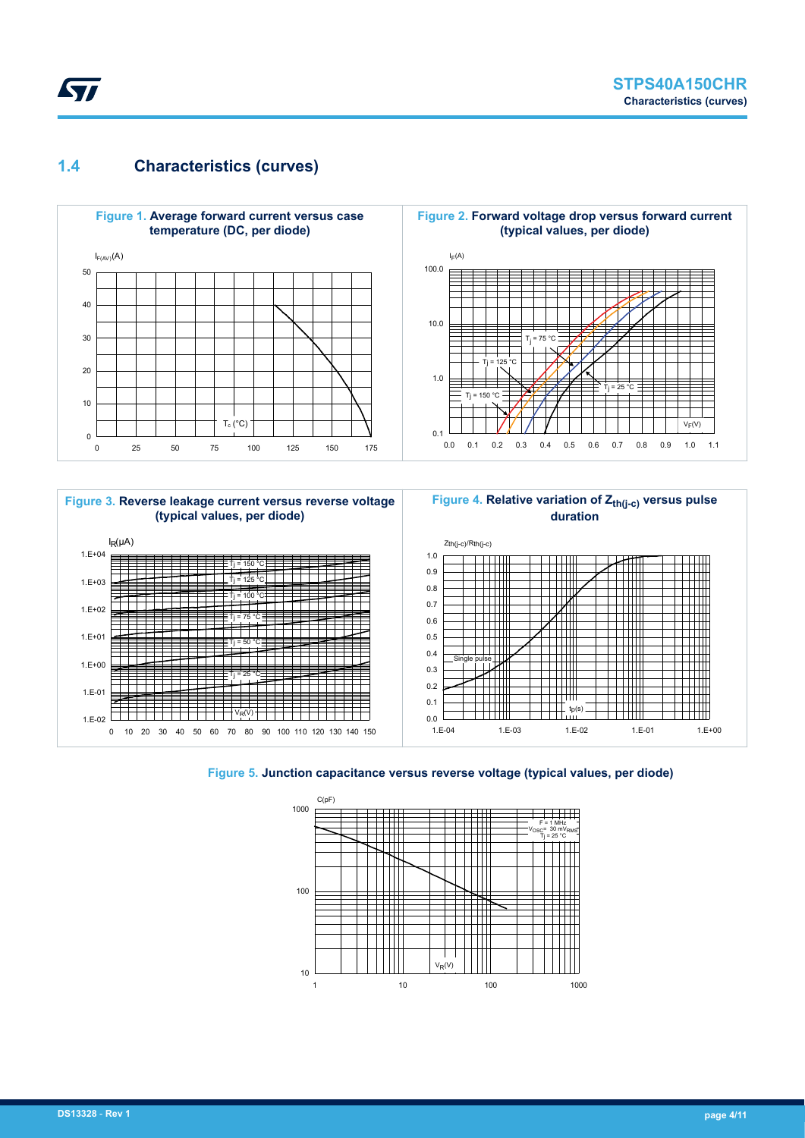# **1.4 Characteristics (curves)**

Ly,







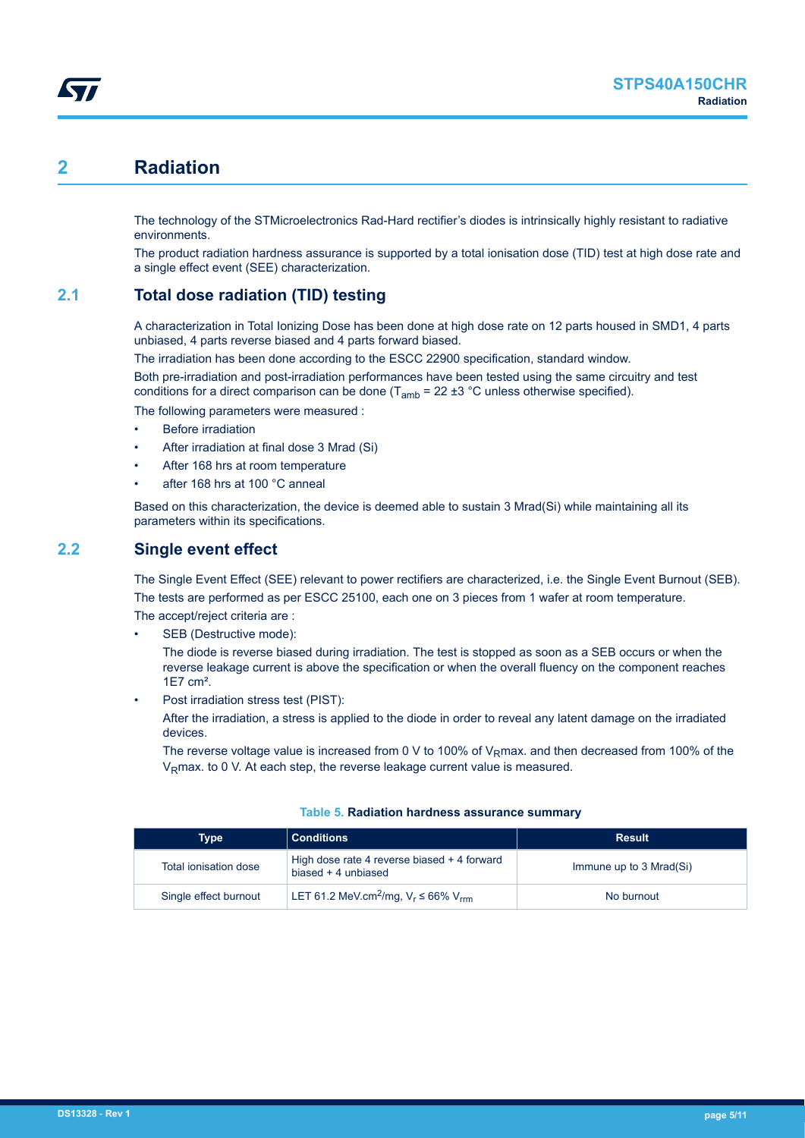# **2 Radiation**

The technology of the STMicroelectronics Rad-Hard rectifier's diodes is intrinsically highly resistant to radiative environments.

The product radiation hardness assurance is supported by a total ionisation dose (TID) test at high dose rate and a single effect event (SEE) characterization.

## **2.1 Total dose radiation (TID) testing**

A characterization in Total Ionizing Dose has been done at high dose rate on 12 parts housed in SMD1, 4 parts unbiased, 4 parts reverse biased and 4 parts forward biased.

The irradiation has been done according to the ESCC 22900 specification, standard window.

Both pre-irradiation and post-irradiation performances have been tested using the same circuitry and test conditions for a direct comparison can be done  $(T_{amb} = 22 \pm 3 \degree C$  unless otherwise specified).

The following parameters were measured :

- **Before irradiation**
- After irradiation at final dose 3 Mrad (Si)
- After 168 hrs at room temperature
- after 168 hrs at 100 °C anneal

Based on this characterization, the device is deemed able to sustain 3 Mrad(Si) while maintaining all its parameters within its specifications.

## **2.2 Single event effect**

The Single Event Effect (SEE) relevant to power rectifiers are characterized, i.e. the Single Event Burnout (SEB). The tests are performed as per ESCC 25100, each one on 3 pieces from 1 wafer at room temperature. The accept/reject criteria are :

SEB (Destructive mode):

The diode is reverse biased during irradiation. The test is stopped as soon as a SEB occurs or when the reverse leakage current is above the specification or when the overall fluency on the component reaches 1E7 cm².

Post irradiation stress test (PIST):

After the irradiation, a stress is applied to the diode in order to reveal any latent damage on the irradiated devices.

The reverse voltage value is increased from 0 V to 100% of V<sub>R</sub>max. and then decreased from 100% of the V<sub>R</sub>max, to 0 V. At each step, the reverse leakage current value is measured.

| Type                  | <b>Conditions</b>                                                  | <b>Result</b>           |
|-----------------------|--------------------------------------------------------------------|-------------------------|
| Total ionisation dose | High dose rate 4 reverse biased + 4 forward<br>biased + 4 unbiased | Immune up to 3 Mrad(Si) |
| Single effect burnout | LET 61.2 MeV.cm <sup>2</sup> /mg, $V_r \le 66\%$ V <sub>rm</sub>   | No burnout              |

#### **Table 5. Radiation hardness assurance summary**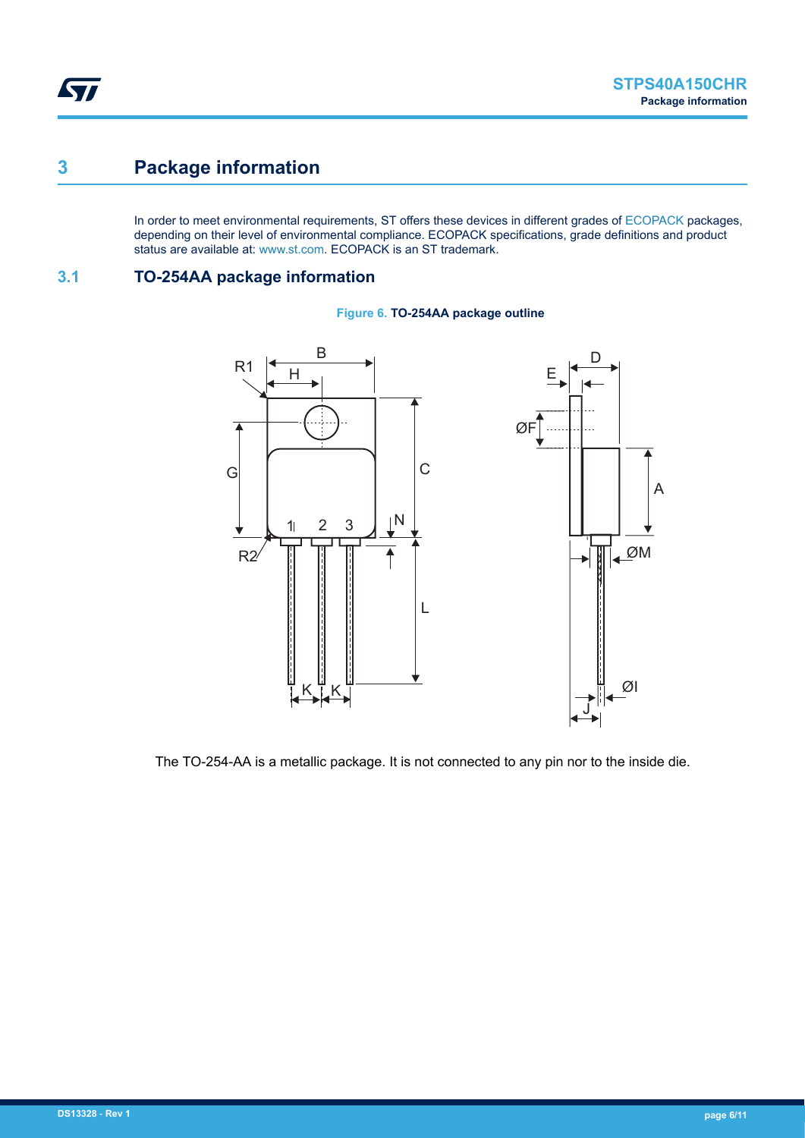# **3 Package information**

In order to meet environmental requirements, ST offers these devices in different grades of [ECOPACK](https://www.st.com/ecopack) packages, depending on their level of environmental compliance. ECOPACK specifications, grade definitions and product status are available at: [www.st.com.](http://www.st.com) ECOPACK is an ST trademark.

## **3.1 TO-254AA package information**



#### **Figure 6. TO-254AA package outline**

The TO-254-AA is a metallic package. It is not connected to any pin nor to the inside die.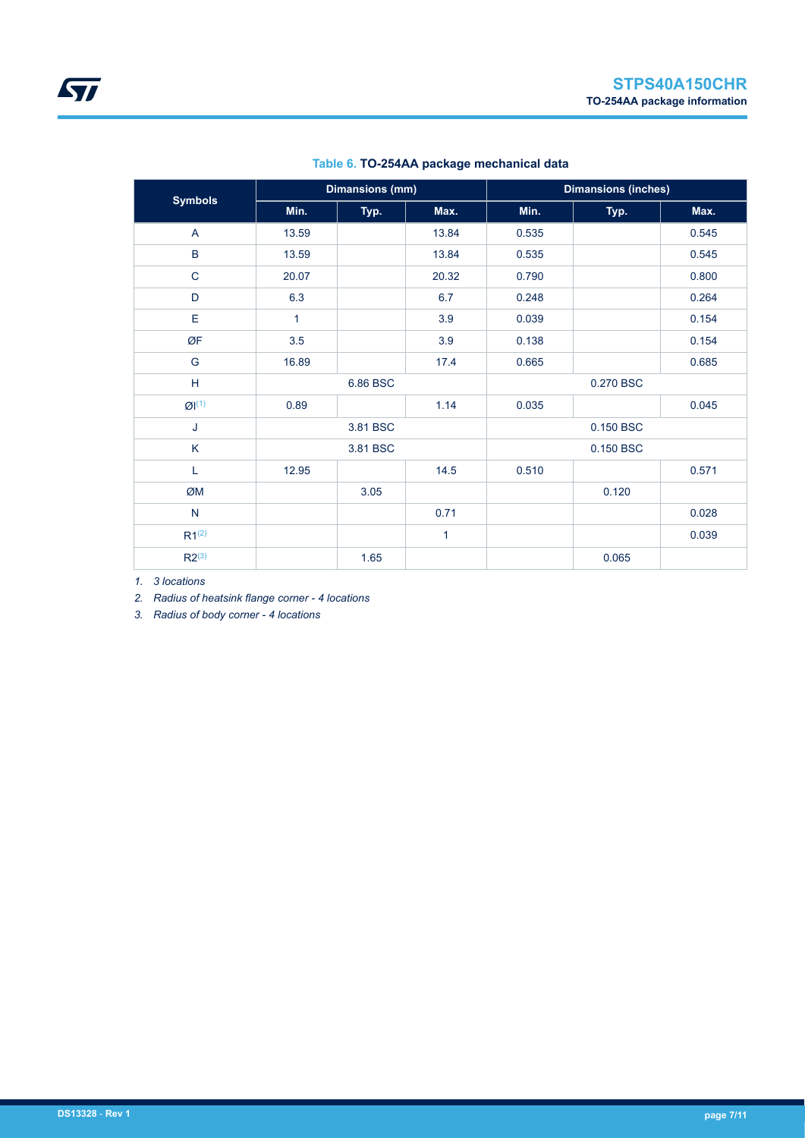| <b>Symbols</b> | <b>Dimansions (mm)</b> |          |              | <b>Dimansions (inches)</b> |           |       |
|----------------|------------------------|----------|--------------|----------------------------|-----------|-------|
|                | Min.<br>Typ.           |          | Max.         | Min.                       | Typ.      | Max.  |
| A              | 13.59                  |          | 13.84        | 0.535                      |           | 0.545 |
| $\sf B$        | 13.59                  |          | 13.84        | 0.535                      |           | 0.545 |
| $\mathbf C$    | 20.07                  |          | 20.32        | 0.790                      |           | 0.800 |
| D              | 6.3                    |          | 6.7          | 0.248                      |           | 0.264 |
| E              | 1                      |          | 3.9          | 0.039                      |           | 0.154 |
| ØF             | 3.5                    |          | 3.9          | 0.138                      |           | 0.154 |
| G              | 16.89                  |          | 17.4         | 0.665                      |           | 0.685 |
| H              |                        | 6.86 BSC |              | 0.270 BSC                  |           |       |
| Q(1)           | 0.89                   |          | 1.14         | 0.035                      |           | 0.045 |
| J              | 3.81 BSC               |          |              |                            | 0.150 BSC |       |
| $\sf K$        |                        | 3.81 BSC |              |                            | 0.150 BSC |       |
| L              | 12.95                  |          | 14.5         | 0.510                      |           | 0.571 |
| ØM             |                        | 3.05     |              |                            | 0.120     |       |
| $\mathsf{N}$   |                        |          | 0.71         |                            |           | 0.028 |
| $R1^{(2)}$     |                        |          | $\mathbf{1}$ |                            |           | 0.039 |
| $R2^{(3)}$     |                        | 1.65     |              |                            | 0.065     |       |

### **Table 6. TO-254AA package mechanical data**

*1. 3 locations*

*2. Radius of heatsink flange corner - 4 locations*

*3. Radius of body corner - 4 locations*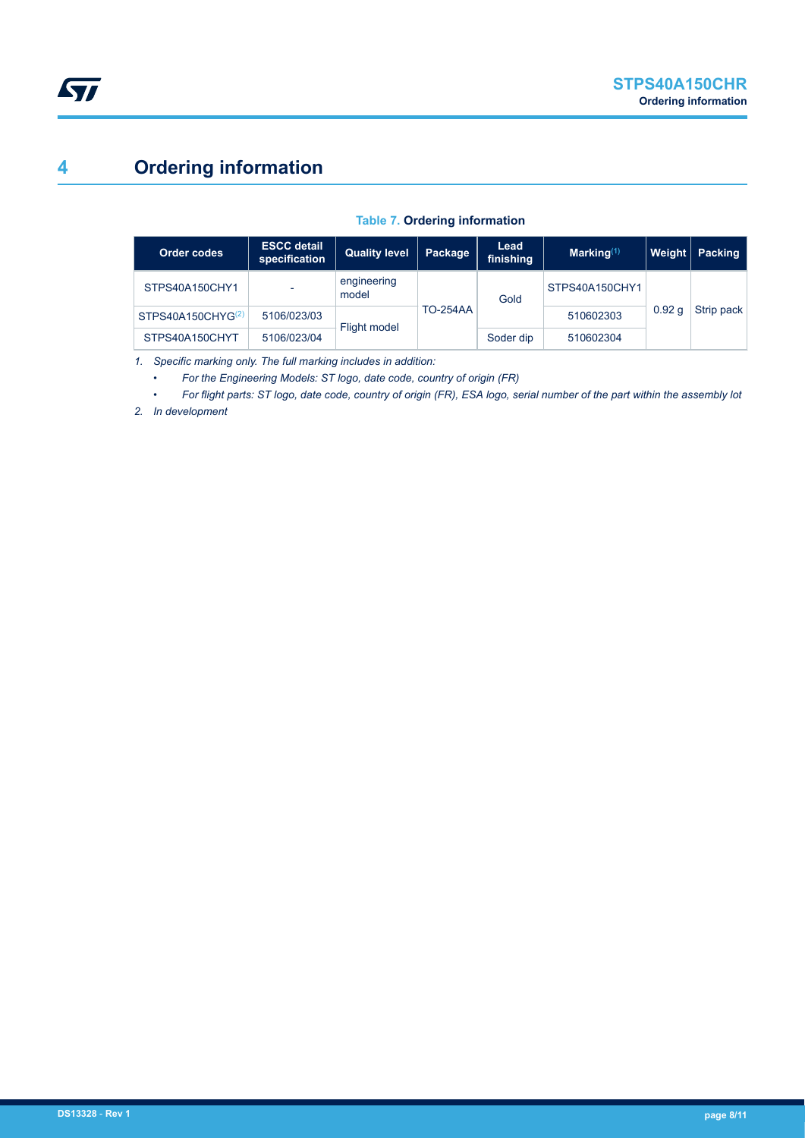# **4 Ordering information**

#### **Table 7. Ordering information**

| Order codes                   | <b>ESCC detail</b><br>specification | <b>Quality level</b> | Package         | Lead<br>finishing | Marking $(1)$  | Weight            | <b>Packing</b> |
|-------------------------------|-------------------------------------|----------------------|-----------------|-------------------|----------------|-------------------|----------------|
| STPS40A150CHY1                |                                     | engineering<br>model |                 | Gold              | STPS40A150CHY1 |                   |                |
| STPS40A150CHYG <sup>(2)</sup> | 5106/023/03                         | Flight model         | <b>TO-254AA</b> |                   | 510602303      | 0.92 <sub>a</sub> | Strip pack     |
| STPS40A150CHYT                | 5106/023/04                         |                      |                 | Soder dip         | 510602304      |                   |                |

*1. Specific marking only. The full marking includes in addition:*

*• For the Engineering Models: ST logo, date code, country of origin (FR)*

*• For flight parts: ST logo, date code, country of origin (FR), ESA logo, serial number of the part within the assembly lot*

*2. In development*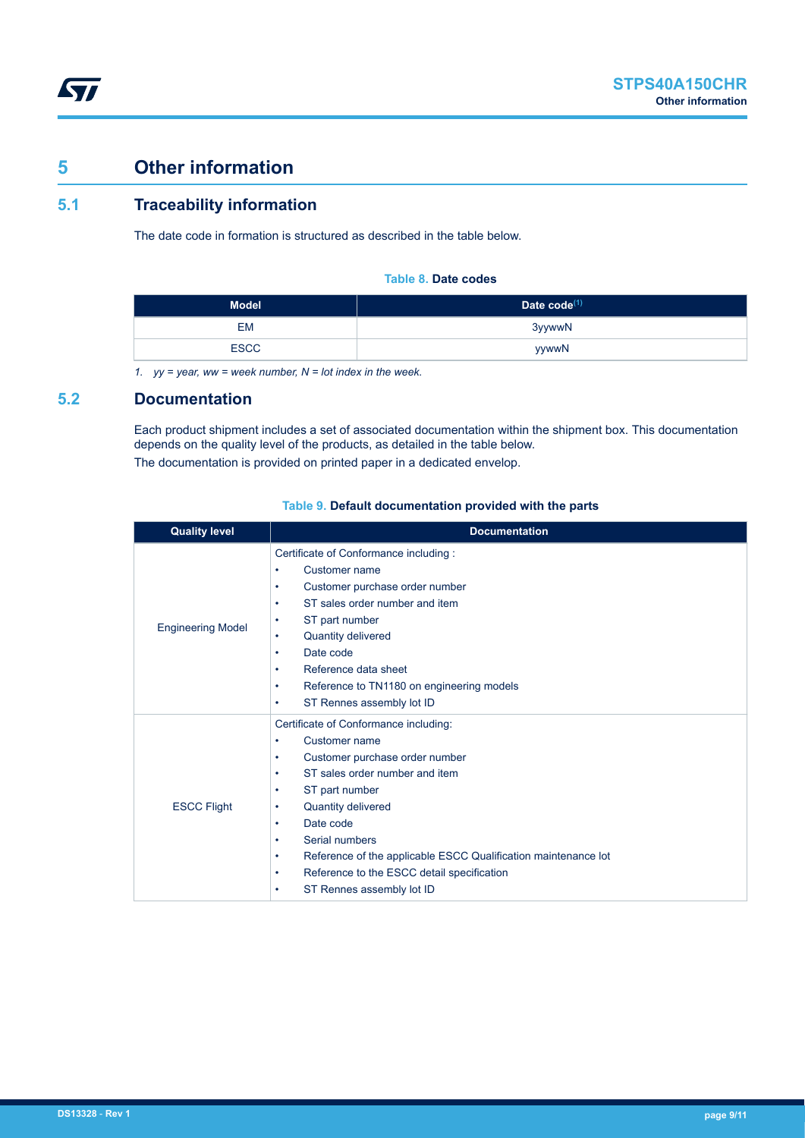# **5 Other information**

*kyi* 

## **5.1 Traceability information**

The date code in formation is structured as described in the table below.

#### **Table 8. Date codes**

| <b>Model</b> | Date $code^{(1)}$ |
|--------------|-------------------|
| EM           | 3yywwN            |
| <b>ESCC</b>  | yywwN             |

*1. yy = year, ww = week number, N = lot index in the week.*

### **5.2 Documentation**

Each product shipment includes a set of associated documentation within the shipment box. This documentation depends on the quality level of the products, as detailed in the table below. The documentation is provided on printed paper in a dedicated envelop.

| <b>Quality level</b>     | <b>Documentation</b>                                                                                                                                                                                                                                                                                                                                                                             |  |  |  |
|--------------------------|--------------------------------------------------------------------------------------------------------------------------------------------------------------------------------------------------------------------------------------------------------------------------------------------------------------------------------------------------------------------------------------------------|--|--|--|
| <b>Engineering Model</b> | Certificate of Conformance including:<br>Customer name<br>٠<br>Customer purchase order number<br>٠<br>ST sales order number and item<br>٠<br>ST part number<br>٠<br>Quantity delivered<br>٠<br>Date code<br>٠<br>Reference data sheet<br>٠<br>Reference to TN1180 on engineering models<br>٠<br>ST Rennes assembly lot ID<br>٠                                                                   |  |  |  |
| <b>ESCC Flight</b>       | Certificate of Conformance including:<br>Customer name<br>٠<br>Customer purchase order number<br>٠<br>ST sales order number and item<br>٠<br>ST part number<br>٠<br>Quantity delivered<br>٠<br>Date code<br>٠<br>Serial numbers<br>٠<br>Reference of the applicable ESCC Qualification maintenance lot<br>٠<br>Reference to the ESCC detail specification<br>٠<br>ST Rennes assembly lot ID<br>٠ |  |  |  |

#### **Table 9. Default documentation provided with the parts**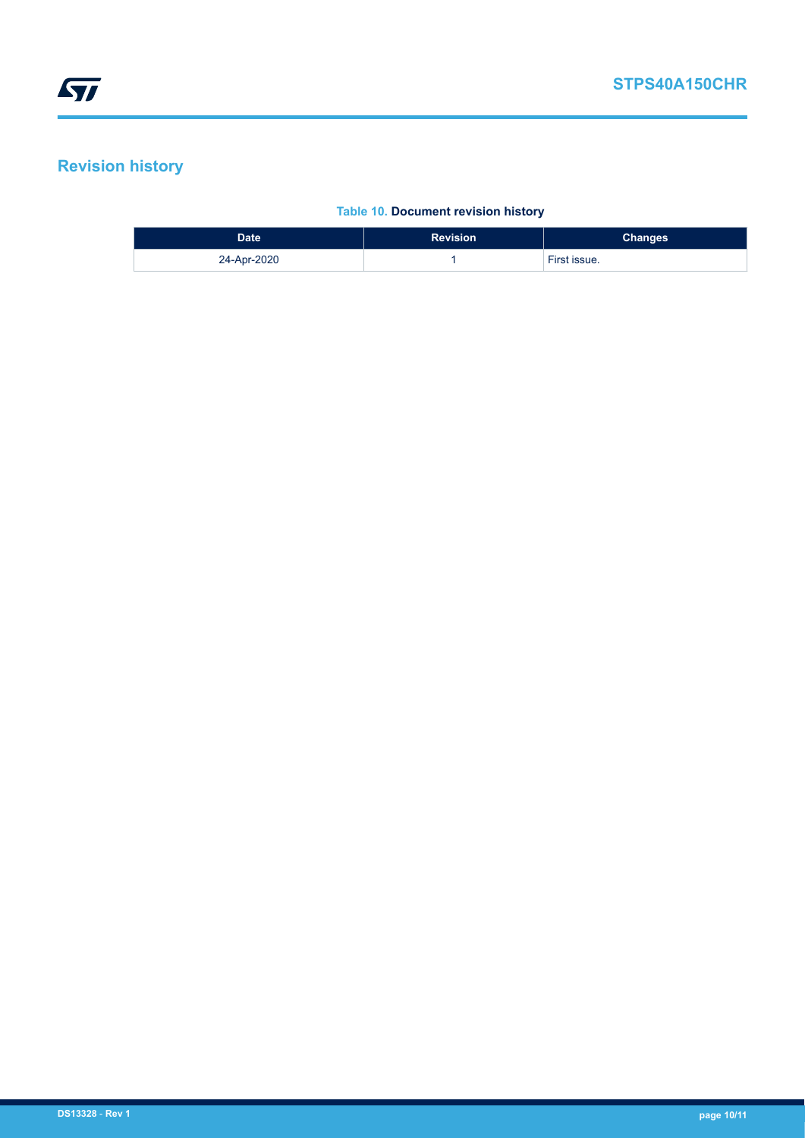# **Revision history**

#### **Table 10. Document revision history**

| Date        | <b>Revision</b> | <b>Changes</b> |
|-------------|-----------------|----------------|
| 24-Apr-2020 |                 | First issue.   |